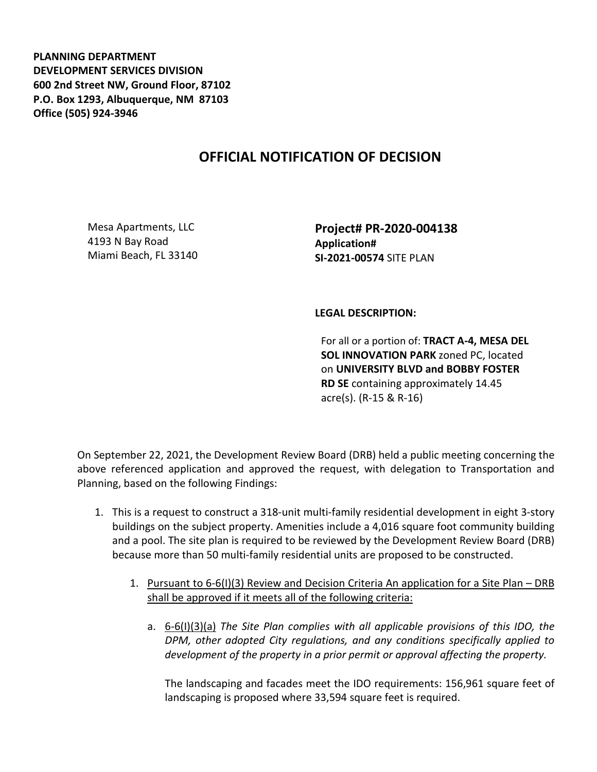**PLANNING DEPARTMENT DEVELOPMENT SERVICES DIVISION 600 2nd Street NW, Ground Floor, 87102 P.O. Box 1293, Albuquerque, NM 87103 Office (505) 924-3946** 

## **OFFICIAL NOTIFICATION OF DECISION**

Mesa Apartments, LLC 4193 N Bay Road Miami Beach, FL 33140 **Project# PR-2020-004138 Application# SI-2021-00574** SITE PLAN

## **LEGAL DESCRIPTION:**

For all or a portion of: **TRACT A-4, MESA DEL SOL INNOVATION PARK** zoned PC, located on **UNIVERSITY BLVD and BOBBY FOSTER RD SE** containing approximately 14.45 acre(s). (R-15 & R-16)

On September 22, 2021, the Development Review Board (DRB) held a public meeting concerning the above referenced application and approved the request, with delegation to Transportation and Planning, based on the following Findings:

- 1. This is a request to construct a 318-unit multi-family residential development in eight 3-story buildings on the subject property. Amenities include a 4,016 square foot community building and a pool. The site plan is required to be reviewed by the Development Review Board (DRB) because more than 50 multi-family residential units are proposed to be constructed.
	- 1. Pursuant to 6-6(I)(3) Review and Decision Criteria An application for a Site Plan DRB shall be approved if it meets all of the following criteria:
		- a. 6-6(I)(3)(a) *The Site Plan complies with all applicable provisions of this IDO, the DPM, other adopted City regulations, and any conditions specifically applied to development of the property in a prior permit or approval affecting the property.*

The landscaping and facades meet the IDO requirements: 156,961 square feet of landscaping is proposed where 33,594 square feet is required.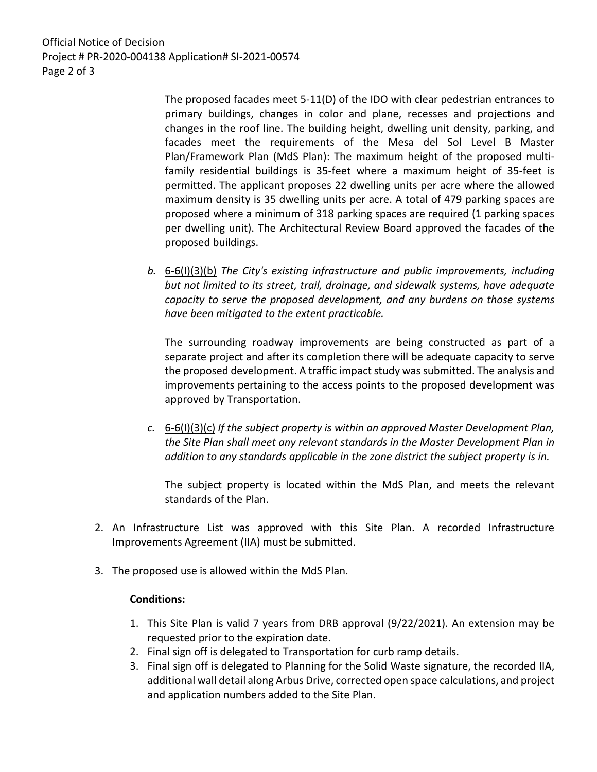Official Notice of Decision Project # PR-2020-004138 Application# SI-2021-00574 Page 2 of 3

> The proposed facades meet 5-11(D) of the IDO with clear pedestrian entrances to primary buildings, changes in color and plane, recesses and projections and changes in the roof line. The building height, dwelling unit density, parking, and facades meet the requirements of the Mesa del Sol Level B Master Plan/Framework Plan (MdS Plan): The maximum height of the proposed multifamily residential buildings is 35-feet where a maximum height of 35-feet is permitted. The applicant proposes 22 dwelling units per acre where the allowed maximum density is 35 dwelling units per acre. A total of 479 parking spaces are proposed where a minimum of 318 parking spaces are required (1 parking spaces per dwelling unit). The Architectural Review Board approved the facades of the proposed buildings.

*b.* 6-6(I)(3)(b) *The City's existing infrastructure and public improvements, including but not limited to its street, trail, drainage, and sidewalk systems, have adequate capacity to serve the proposed development, and any burdens on those systems have been mitigated to the extent practicable.* 

The surrounding roadway improvements are being constructed as part of a separate project and after its completion there will be adequate capacity to serve the proposed development. A traffic impact study was submitted. The analysis and improvements pertaining to the access points to the proposed development was approved by Transportation.

*c.* 6-6(I)(3)(c) *If the subject property is within an approved Master Development Plan, the Site Plan shall meet any relevant standards in the Master Development Plan in addition to any standards applicable in the zone district the subject property is in.*

The subject property is located within the MdS Plan, and meets the relevant standards of the Plan.

- 2. An Infrastructure List was approved with this Site Plan. A recorded Infrastructure Improvements Agreement (IIA) must be submitted.
- 3. The proposed use is allowed within the MdS Plan.

## **Conditions:**

- 1. This Site Plan is valid 7 years from DRB approval (9/22/2021). An extension may be requested prior to the expiration date.
- 2. Final sign off is delegated to Transportation for curb ramp details.
- 3. Final sign off is delegated to Planning for the Solid Waste signature, the recorded IIA, additional wall detail along Arbus Drive, corrected open space calculations, and project and application numbers added to the Site Plan.